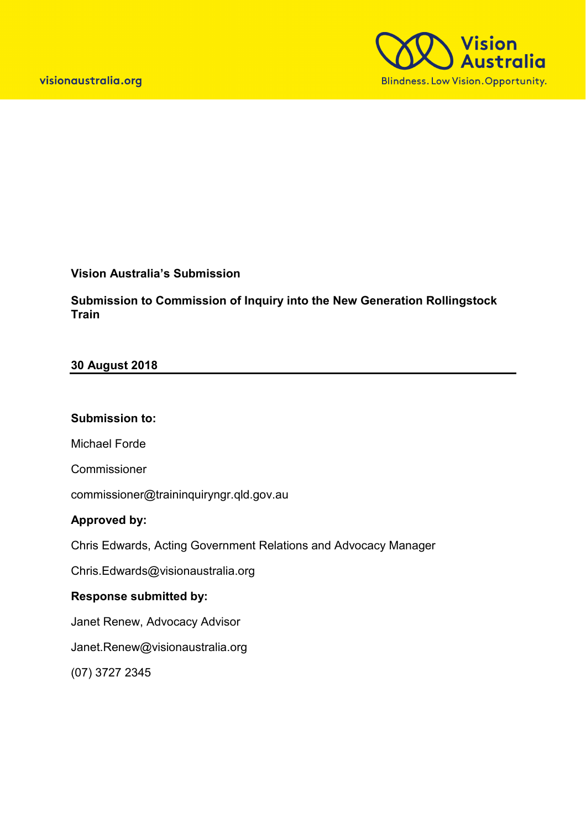

### **Vision Australia's Submission**

**Submission to Commission of Inquiry into the New Generation Rollingstock Train** 

### **30 August 2018**

#### **Submission to:**

Michael Forde

Commissioner

commissioner@traininquiryngr.qld.gov.au

### **Approved by:**

Chris Edwards, Acting Government Relations and Advocacy Manager

Chris.Edwards@visionaustralia.org

# **Response submitted by:**

Janet Renew, Advocacy Advisor

Janet.Renew@visionaustralia.org

(07) 3727 2345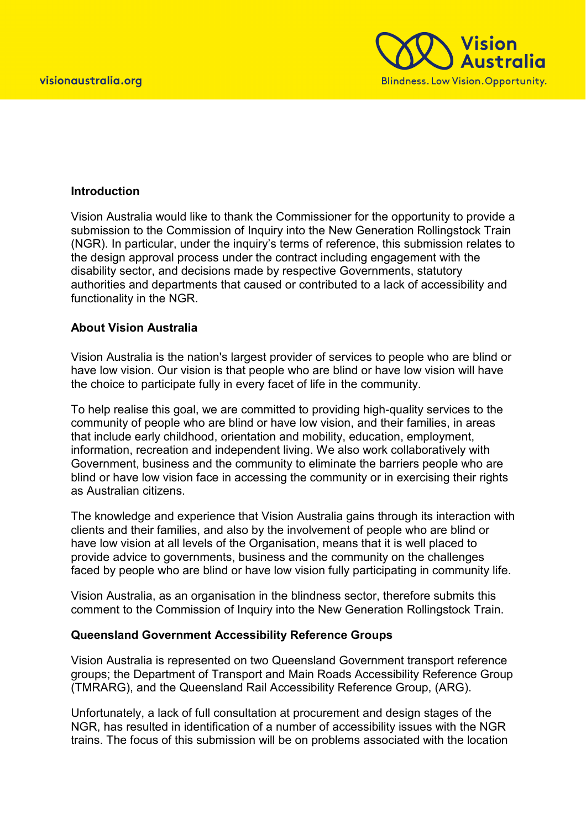

### **Introduction**

Vision Australia would like to thank the Commissioner for the opportunity to provide a submission to the Commission of Inquiry into the New Generation Rollingstock Train (NGR). In particular, under the inquiry's terms of reference, this submission relates to the design approval process under the contract including engagement with the disability sector, and decisions made by respective Governments, statutory authorities and departments that caused or contributed to a lack of accessibility and functionality in the NGR.

### **About Vision Australia**

Vision Australia is the nation's largest provider of services to people who are blind or have low vision. Our vision is that people who are blind or have low vision will have the choice to participate fully in every facet of life in the community.

To help realise this goal, we are committed to providing high-quality services to the community of people who are blind or have low vision, and their families, in areas that include early childhood, orientation and mobility, education, employment, information, recreation and independent living. We also work collaboratively with Government, business and the community to eliminate the barriers people who are blind or have low vision face in accessing the community or in exercising their rights as Australian citizens.

The knowledge and experience that Vision Australia gains through its interaction with clients and their families, and also by the involvement of people who are blind or have low vision at all levels of the Organisation, means that it is well placed to provide advice to governments, business and the community on the challenges faced by people who are blind or have low vision fully participating in community life.

Vision Australia, as an organisation in the blindness sector, therefore submits this comment to the Commission of Inquiry into the New Generation Rollingstock Train.

### **Queensland Government Accessibility Reference Groups**

Vision Australia is represented on two Queensland Government transport reference groups; the Department of Transport and Main Roads Accessibility Reference Group (TMRARG), and the Queensland Rail Accessibility Reference Group, (ARG).

Unfortunately, a lack of full consultation at procurement and design stages of the NGR, has resulted in identification of a number of accessibility issues with the NGR trains. The focus of this submission will be on problems associated with the location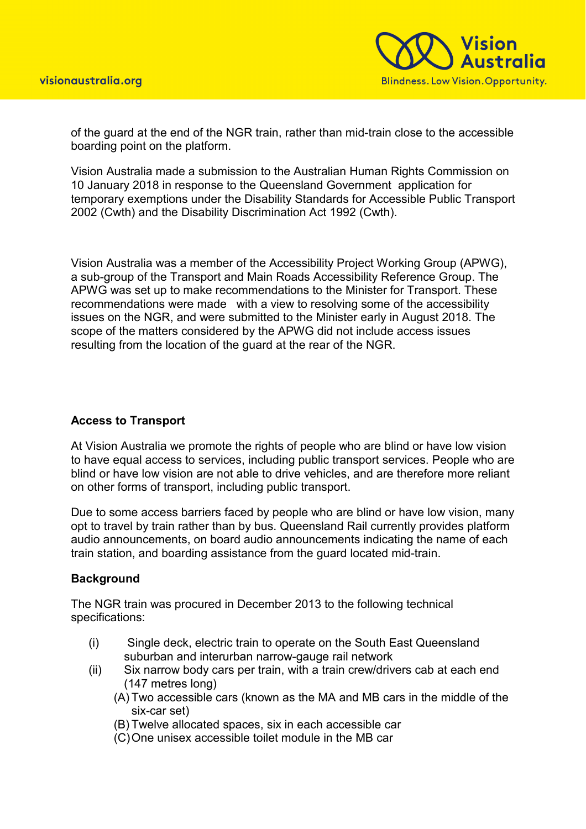

of the guard at the end of the NGR train, rather than mid-train close to the accessible boarding point on the platform.

Vision Australia made a submission to the Australian Human Rights Commission on 10 January 2018 in response to the Queensland Government application for temporary exemptions under the Disability Standards for Accessible Public Transport 2002 (Cwth) and the Disability Discrimination Act 1992 (Cwth).

Vision Australia was a member of the Accessibility Project Working Group (APWG), a sub-group of the Transport and Main Roads Accessibility Reference Group. The APWG was set up to make recommendations to the Minister for Transport. These recommendations were made with a view to resolving some of the accessibility issues on the NGR, and were submitted to the Minister early in August 2018. The scope of the matters considered by the APWG did not include access issues resulting from the location of the guard at the rear of the NGR.

# **Access to Transport**

At Vision Australia we promote the rights of people who are blind or have low vision to have equal access to services, including public transport services. People who are blind or have low vision are not able to drive vehicles, and are therefore more reliant on other forms of transport, including public transport.

Due to some access barriers faced by people who are blind or have low vision, many opt to travel by train rather than by bus. Queensland Rail currently provides platform audio announcements, on board audio announcements indicating the name of each train station, and boarding assistance from the guard located mid-train.

# **Background**

The NGR train was procured in December 2013 to the following technical specifications:

- (i) Single deck, electric train to operate on the South East Queensland suburban and interurban narrow-gauge rail network
- (ii) Six narrow body cars per train, with a train crew/drivers cab at each end (147 metres long)
	- (A) Two accessible cars (known as the MA and MB cars in the middle of the six-car set)
	- (B) Twelve allocated spaces, six in each accessible car
	- (C)One unisex accessible toilet module in the MB car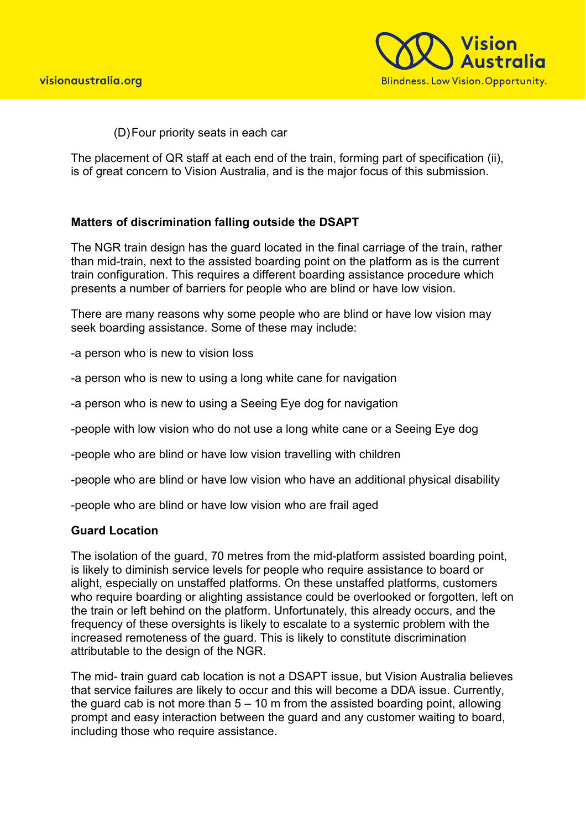

(D)Four priority seats in each car

The placement of QR staff at each end of the train, forming part of specification (ii), is of great concern to Vision Australia, and is the major focus of this submission.

### **Matters of discrimination falling outside the DSAPT**

The NGR train design has the guard located in the final carriage of the train, rather than mid-train, next to the assisted boarding point on the platform as is the current train configuration. This requires a different boarding assistance procedure which presents a number of barriers for people who are blind or have low vision.

There are many reasons why some people who are blind or have low vision may seek boarding assistance. Some of these may include:

-a person who is new to vision loss

-a person who is new to using a long white cane for navigation

-a person who is new to using a Seeing Eye dog for navigation

-people with low vision who do not use a long white cane or a Seeing Eye dog

-people who are blind or have low vision travelling with children

-people who are blind or have low vision who have an additional physical disability

-people who are blind or have low vision who are frail aged

### **Guard Location**

The isolation of the guard, 70 metres from the mid-platform assisted boarding point, is likely to diminish service levels for people who require assistance to board or alight, especially on unstaffed platforms. On these unstaffed platforms, customers who require boarding or alighting assistance could be overlooked or forgotten, left on the train or left behind on the platform. Unfortunately, this already occurs, and the frequency of these oversights is likely to escalate to a systemic problem with the increased remoteness of the guard. This is likely to constitute discrimination attributable to the design of the NGR.

The mid- train guard cab location is not a DSAPT issue, but Vision Australia believes that service failures are likely to occur and this will become a DDA issue. Currently, the guard cab is not more than  $5 - 10$  m from the assisted boarding point, allowing prompt and easy interaction between the guard and any customer waiting to board, including those who require assistance.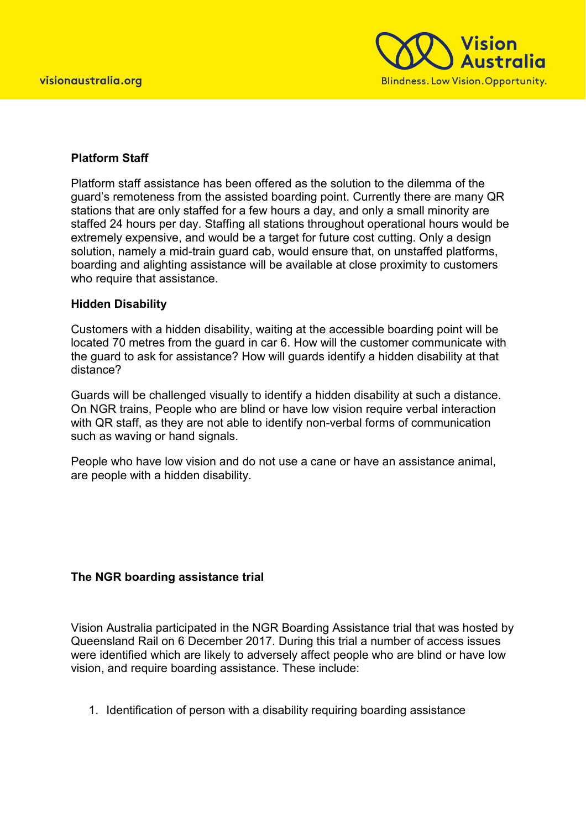

# **Platform Staff**

Platform staff assistance has been offered as the solution to the dilemma of the guard's remoteness from the assisted boarding point. Currently there are many QR stations that are only staffed for a few hours a day, and only a small minority are staffed 24 hours per day. Staffing all stations throughout operational hours would be extremely expensive, and would be a target for future cost cutting. Only a design solution, namely a mid-train guard cab, would ensure that, on unstaffed platforms, boarding and alighting assistance will be available at close proximity to customers who require that assistance.

### **Hidden Disability**

Customers with a hidden disability, waiting at the accessible boarding point will be located 70 metres from the guard in car 6. How will the customer communicate with the guard to ask for assistance? How will guards identify a hidden disability at that distance?

Guards will be challenged visually to identify a hidden disability at such a distance. On NGR trains, People who are blind or have low vision require verbal interaction with QR staff, as they are not able to identify non-verbal forms of communication such as waving or hand signals.

People who have low vision and do not use a cane or have an assistance animal, are people with a hidden disability.

# **The NGR boarding assistance trial**

Vision Australia participated in the NGR Boarding Assistance trial that was hosted by Queensland Rail on 6 December 2017. During this trial a number of access issues were identified which are likely to adversely affect people who are blind or have low vision, and require boarding assistance. These include:

1. Identification of person with a disability requiring boarding assistance